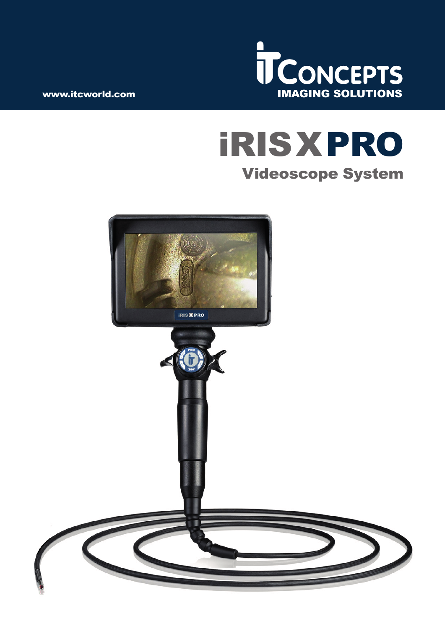

# iRISXPRO Videoscope System